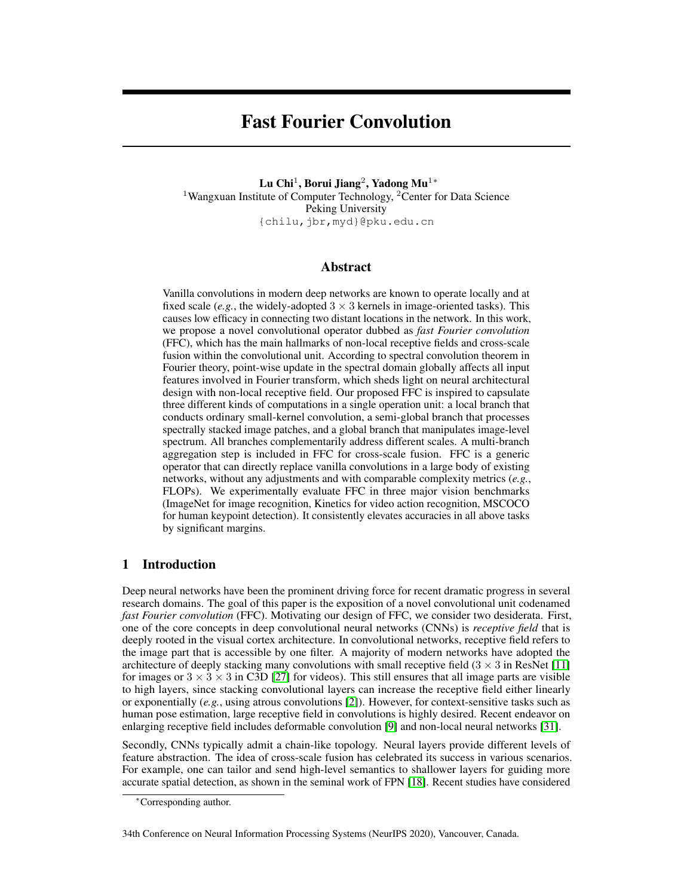# Fast Fourier Convolution

Lu Chi $^1$ , Borui Jiang $^2$ , Yadong Mu $^{1\ast}$ <sup>1</sup>Wangxuan Institute of Computer Technology, <sup>2</sup>Center for Data Science Peking University {chilu,jbr,myd}@pku.edu.cn

# Abstract

Vanilla convolutions in modern deep networks are known to operate locally and at fixed scale (*e.g.*, the widely-adopted  $3 \times 3$  kernels in image-oriented tasks). This causes low efficacy in connecting two distant locations in the network. In this work, we propose a novel convolutional operator dubbed as *fast Fourier convolution* (FFC), which has the main hallmarks of non-local receptive fields and cross-scale fusion within the convolutional unit. According to spectral convolution theorem in Fourier theory, point-wise update in the spectral domain globally affects all input features involved in Fourier transform, which sheds light on neural architectural design with non-local receptive field. Our proposed FFC is inspired to capsulate three different kinds of computations in a single operation unit: a local branch that conducts ordinary small-kernel convolution, a semi-global branch that processes spectrally stacked image patches, and a global branch that manipulates image-level spectrum. All branches complementarily address different scales. A multi-branch aggregation step is included in FFC for cross-scale fusion. FFC is a generic operator that can directly replace vanilla convolutions in a large body of existing networks, without any adjustments and with comparable complexity metrics (*e.g.*, FLOPs). We experimentally evaluate FFC in three major vision benchmarks (ImageNet for image recognition, Kinetics for video action recognition, MSCOCO for human keypoint detection). It consistently elevates accuracies in all above tasks by significant margins.

# 1 Introduction

Deep neural networks have been the prominent driving force for recent dramatic progress in several research domains. The goal of this paper is the exposition of a novel convolutional unit codenamed *fast Fourier convolution* (FFC). Motivating our design of FFC, we consider two desiderata. First, one of the core concepts in deep convolutional neural networks (CNNs) is *receptive field* that is deeply rooted in the visual cortex architecture. In convolutional networks, receptive field refers to the image part that is accessible by one filter. A majority of modern networks have adopted the architecture of deeply stacking many convolutions with small receptive field  $(3 \times 3 \text{ in } \text{ResNet} [11]$  $(3 \times 3 \text{ in } \text{ResNet} [11]$ for images or  $3 \times 3 \times 3$  in C3D [\[27\]](#page-9-0) for videos). This still ensures that all image parts are visible to high layers, since stacking convolutional layers can increase the receptive field either linearly or exponentially (*e.g.*, using atrous convolutions [\[2\]](#page-8-1)). However, for context-sensitive tasks such as human pose estimation, large receptive field in convolutions is highly desired. Recent endeavor on enlarging receptive field includes deformable convolution [\[9\]](#page-8-2) and non-local neural networks [\[31\]](#page-9-1).

Secondly, CNNs typically admit a chain-like topology. Neural layers provide different levels of feature abstraction. The idea of cross-scale fusion has celebrated its success in various scenarios. For example, one can tailor and send high-level semantics to shallower layers for guiding more accurate spatial detection, as shown in the seminal work of FPN [\[18\]](#page-9-2). Recent studies have considered

34th Conference on Neural Information Processing Systems (NeurIPS 2020), Vancouver, Canada.

<sup>∗</sup>Corresponding author.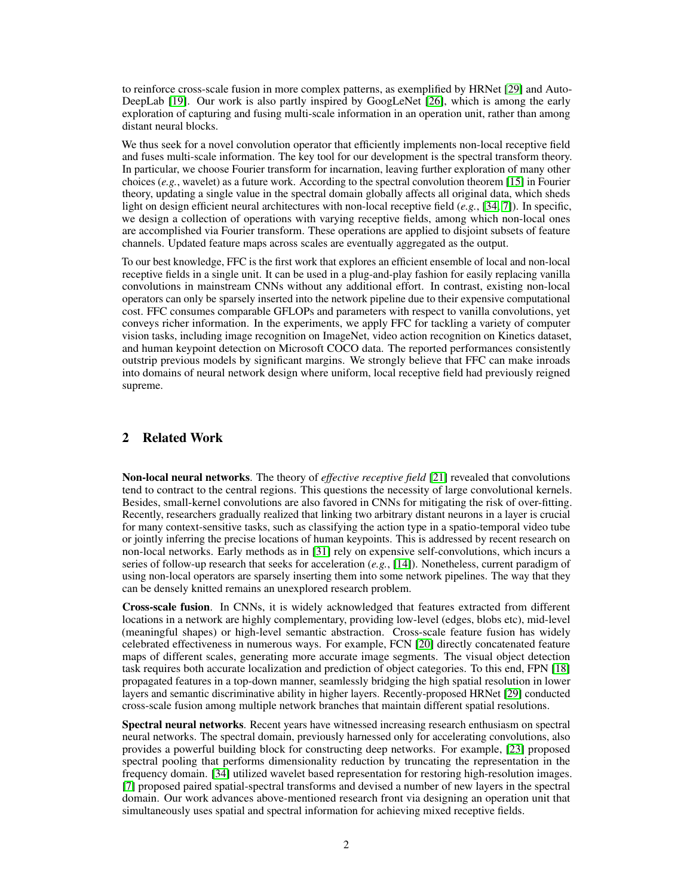to reinforce cross-scale fusion in more complex patterns, as exemplified by HRNet [\[29\]](#page-9-3) and Auto-DeepLab [\[19\]](#page-9-4). Our work is also partly inspired by GoogLeNet [\[26\]](#page-9-5), which is among the early exploration of capturing and fusing multi-scale information in an operation unit, rather than among distant neural blocks.

We thus seek for a novel convolution operator that efficiently implements non-local receptive field and fuses multi-scale information. The key tool for our development is the spectral transform theory. In particular, we choose Fourier transform for incarnation, leaving further exploration of many other choices (*e.g.*, wavelet) as a future work. According to the spectral convolution theorem [\[15\]](#page-8-3) in Fourier theory, updating a single value in the spectral domain globally affects all original data, which sheds light on design efficient neural architectures with non-local receptive field (*e.g.*, [\[34,](#page-9-6) [7\]](#page-8-4)). In specific, we design a collection of operations with varying receptive fields, among which non-local ones are accomplished via Fourier transform. These operations are applied to disjoint subsets of feature channels. Updated feature maps across scales are eventually aggregated as the output.

To our best knowledge, FFC is the first work that explores an efficient ensemble of local and non-local receptive fields in a single unit. It can be used in a plug-and-play fashion for easily replacing vanilla convolutions in mainstream CNNs without any additional effort. In contrast, existing non-local operators can only be sparsely inserted into the network pipeline due to their expensive computational cost. FFC consumes comparable GFLOPs and parameters with respect to vanilla convolutions, yet conveys richer information. In the experiments, we apply FFC for tackling a variety of computer vision tasks, including image recognition on ImageNet, video action recognition on Kinetics dataset, and human keypoint detection on Microsoft COCO data. The reported performances consistently outstrip previous models by significant margins. We strongly believe that FFC can make inroads into domains of neural network design where uniform, local receptive field had previously reigned supreme.

# 2 Related Work

Non-local neural networks. The theory of *effective receptive field* [\[21\]](#page-9-7) revealed that convolutions tend to contract to the central regions. This questions the necessity of large convolutional kernels. Besides, small-kernel convolutions are also favored in CNNs for mitigating the risk of over-fitting. Recently, researchers gradually realized that linking two arbitrary distant neurons in a layer is crucial for many context-sensitive tasks, such as classifying the action type in a spatio-temporal video tube or jointly inferring the precise locations of human keypoints. This is addressed by recent research on non-local networks. Early methods as in [\[31\]](#page-9-1) rely on expensive self-convolutions, which incurs a series of follow-up research that seeks for acceleration (*e.g.*, [\[14\]](#page-8-5)). Nonetheless, current paradigm of using non-local operators are sparsely inserting them into some network pipelines. The way that they can be densely knitted remains an unexplored research problem.

Cross-scale fusion. In CNNs, it is widely acknowledged that features extracted from different locations in a network are highly complementary, providing low-level (edges, blobs etc), mid-level (meaningful shapes) or high-level semantic abstraction. Cross-scale feature fusion has widely celebrated effectiveness in numerous ways. For example, FCN [\[20\]](#page-9-8) directly concatenated feature maps of different scales, generating more accurate image segments. The visual object detection task requires both accurate localization and prediction of object categories. To this end, FPN [\[18\]](#page-9-2) propagated features in a top-down manner, seamlessly bridging the high spatial resolution in lower layers and semantic discriminative ability in higher layers. Recently-proposed HRNet [\[29\]](#page-9-3) conducted cross-scale fusion among multiple network branches that maintain different spatial resolutions.

Spectral neural networks. Recent years have witnessed increasing research enthusiasm on spectral neural networks. The spectral domain, previously harnessed only for accelerating convolutions, also provides a powerful building block for constructing deep networks. For example, [\[23\]](#page-9-9) proposed spectral pooling that performs dimensionality reduction by truncating the representation in the frequency domain. [\[34\]](#page-9-6) utilized wavelet based representation for restoring high-resolution images. [\[7\]](#page-8-4) proposed paired spatial-spectral transforms and devised a number of new layers in the spectral domain. Our work advances above-mentioned research front via designing an operation unit that simultaneously uses spatial and spectral information for achieving mixed receptive fields.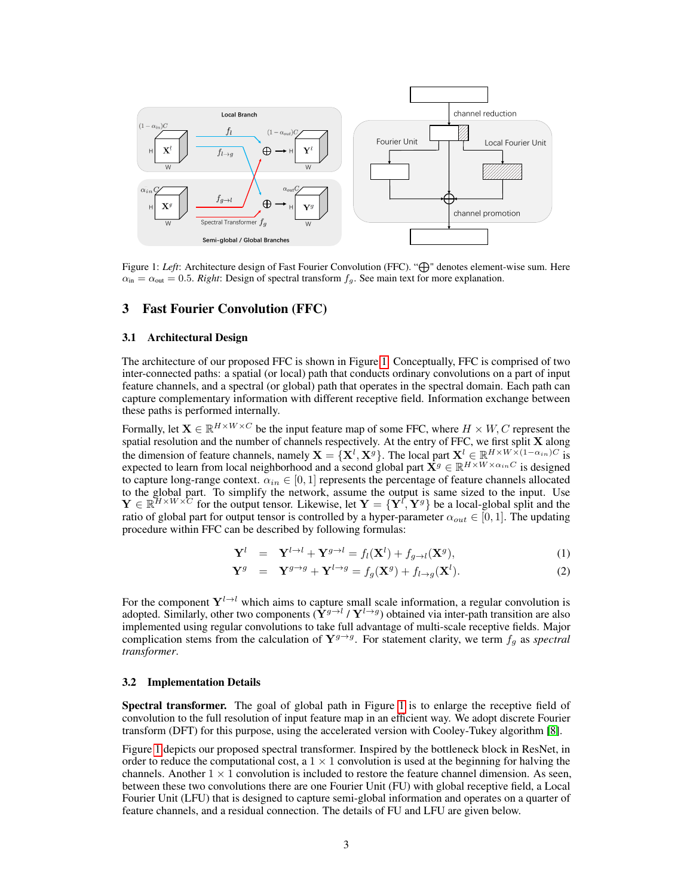<span id="page-2-0"></span>

Figure 1: Left: Architecture design of Fast Fourier Convolution (FFC). " $\bigoplus$ " denotes element-wise sum. Here  $\alpha_{\rm in} = \alpha_{\rm out} = 0.5$ . *Right*: Design of spectral transform  $f_g$ . See main text for more explanation.

## 3 Fast Fourier Convolution (FFC)

#### 3.1 Architectural Design

The architecture of our proposed FFC is shown in Figure [1.](#page-2-0) Conceptually, FFC is comprised of two inter-connected paths: a spatial (or local) path that conducts ordinary convolutions on a part of input feature channels, and a spectral (or global) path that operates in the spectral domain. Each path can capture complementary information with different receptive field. Information exchange between these paths is performed internally.

Formally, let  $\mathbf{X} \in \mathbb{R}^{H \times W \times C}$  be the input feature map of some FFC, where  $H \times W, C$  represent the spatial resolution and the number of channels respectively. At the entry of FFC, we first split X along the dimension of feature channels, namely  $X = \{X^l, X^g\}$ . The local part  $X^l \in \mathbb{R}^{H \times W \times (1-\alpha_{in})C}$  is expected to learn from local neighborhood and a second global part  $\dot{X}^g \in \mathbb{R}^{H \times W \times \alpha_{in}C}$  is designed to capture long-range context.  $\alpha_{in} \in [0, 1]$  represents the percentage of feature channels allocated to the global part. To simplify the network, assume the output is same sized to the input. Use  $\mathbf{Y} \in \mathbb{R}^{H \times W \times C}$  for the output tensor. Likewise, let  $\mathbf{Y} = \{ \mathbf{Y}^l, \mathbf{Y}^g \}$  be a local-global split and the ratio of global part for output tensor is controlled by a hyper-parameter  $\alpha_{out} \in [0, 1]$ . The updating procedure within FFC can be described by following formulas:

$$
\mathbf{Y}^{l} = \mathbf{Y}^{l \to l} + \mathbf{Y}^{g \to l} = f_{l}(\mathbf{X}^{l}) + f_{g \to l}(\mathbf{X}^{g}), \tag{1}
$$

$$
\mathbf{Y}^g = \mathbf{Y}^{g \to g} + \mathbf{Y}^{l \to g} = f_g(\mathbf{X}^g) + f_{l \to g}(\mathbf{X}^l). \tag{2}
$$

For the component  $Y^{l \to l}$  which aims to capture small scale information, a regular convolution is adopted. Similarly, other two components  $(\tilde{\mathbf{Y}}^{g\to l} / \mathbf{Y}^{l\to g})$  obtained via inter-path transition are also implemented using regular convolutions to take full advantage of multi-scale receptive fields. Major complication stems from the calculation of  $Y^{g\rightarrow g}$ . For statement clarity, we term  $f_g$  as *spectral transformer*.

#### 3.2 Implementation Details

Spectral transformer. The goal of global path in Figure [1](#page-2-0) is to enlarge the receptive field of convolution to the full resolution of input feature map in an efficient way. We adopt discrete Fourier transform (DFT) for this purpose, using the accelerated version with Cooley-Tukey algorithm [\[8\]](#page-8-6).

Figure [1](#page-2-0) depicts our proposed spectral transformer. Inspired by the bottleneck block in ResNet, in order to reduce the computational cost, a  $1 \times 1$  convolution is used at the beginning for halving the channels. Another  $1 \times 1$  convolution is included to restore the feature channel dimension. As seen, between these two convolutions there are one Fourier Unit (FU) with global receptive field, a Local Fourier Unit (LFU) that is designed to capture semi-global information and operates on a quarter of feature channels, and a residual connection. The details of FU and LFU are given below.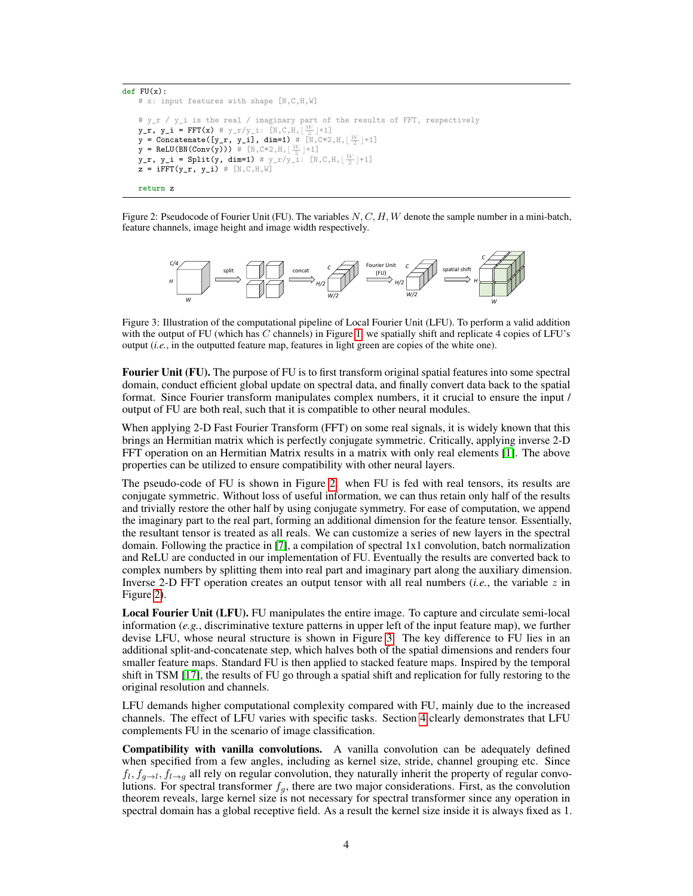```
def FU(x):# x: input features with shape [N,C,H,W]
# y_r / y_i is the real / imaginary part of the results of FFT, respectively
y_r, y_i = FFT(x) # y_r/y_i: [N, C, H, \lfloor \frac{W}{2} \rfloor + 1]y = Concatenate([y_r, y_i], dim=1) \# [N, C*2, H, \lfloor \frac{W}{2} \rfloor + 1]
y = \text{ReLU}(\text{BN}(\text{Conv}(y))) \# [\mathbb{N}, \mathbb{C} * 2, \mathbb{H}, \lfloor \frac{W}{2} \rfloor + 1]y_r, y_i = Split(y, dim=1) # y_r/y_i: [N, C, H, \lfloor \frac{W}{2} \rfloor + 1]z = iFFT(y_r, y_i) # [N, C, H, W]return z
```
Figure 2: Pseudocode of Fourier Unit (FU). The variables  $N, C, H, W$  denote the sample number in a mini-batch, feature channels, image height and image width respectively.

<span id="page-3-1"></span>

Figure 3: Illustration of the computational pipeline of Local Fourier Unit (LFU). To perform a valid addition with the output of FU (which has C channels) in Figure [1,](#page-2-0) we spatially shift and replicate 4 copies of LFU's output (*i.e.*, in the outputted feature map, features in light green are copies of the white one).

Fourier Unit (FU). The purpose of FU is to first transform original spatial features into some spectral domain, conduct efficient global update on spectral data, and finally convert data back to the spatial format. Since Fourier transform manipulates complex numbers, it it crucial to ensure the input / output of FU are both real, such that it is compatible to other neural modules.

When applying 2-D Fast Fourier Transform (FFT) on some real signals, it is widely known that this brings an Hermitian matrix which is perfectly conjugate symmetric. Critically, applying inverse 2-D FFT operation on an Hermitian Matrix results in a matrix with only real elements [\[1\]](#page-8-7). The above properties can be utilized to ensure compatibility with other neural layers.

The pseudo-code of FU is shown in Figure [2.](#page-3-0) when FU is fed with real tensors, its results are conjugate symmetric. Without loss of useful information, we can thus retain only half of the results and trivially restore the other half by using conjugate symmetry. For ease of computation, we append the imaginary part to the real part, forming an additional dimension for the feature tensor. Essentially, the resultant tensor is treated as all reals. We can customize a series of new layers in the spectral domain. Following the practice in [\[7\]](#page-8-4), a compilation of spectral 1x1 convolution, batch normalization and ReLU are conducted in our implementation of FU. Eventually the results are converted back to complex numbers by splitting them into real part and imaginary part along the auxiliary dimension. Inverse 2-D FFT operation creates an output tensor with all real numbers  $(i.e.,$  the variable  $z$  in Figure [2\)](#page-3-0).

Local Fourier Unit (LFU). FU manipulates the entire image. To capture and circulate semi-local information (*e.g.*, discriminative texture patterns in upper left of the input feature map), we further devise LFU, whose neural structure is shown in Figure [3.](#page-3-1) The key difference to FU lies in an additional split-and-concatenate step, which halves both of the spatial dimensions and renders four smaller feature maps. Standard FU is then applied to stacked feature maps. Inspired by the temporal shift in TSM [\[17\]](#page-9-10), the results of FU go through a spatial shift and replication for fully restoring to the original resolution and channels.

LFU demands higher computational complexity compared with FU, mainly due to the increased channels. The effect of LFU varies with specific tasks. Section [4](#page-4-0) clearly demonstrates that LFU complements FU in the scenario of image classification.

Compatibility with vanilla convolutions. A vanilla convolution can be adequately defined when specified from a few angles, including as kernel size, stride, channel grouping etc. Since  $f_l, f_{g\to l}, f_{l\to g}$  all rely on regular convolution, they naturally inherit the property of regular convolutions. For spectral transformer  $f_g$ , there are two major considerations. First, as the convolution theorem reveals, large kernel size is not necessary for spectral transformer since any operation in spectral domain has a global receptive field. As a result the kernel size inside it is always fixed as 1.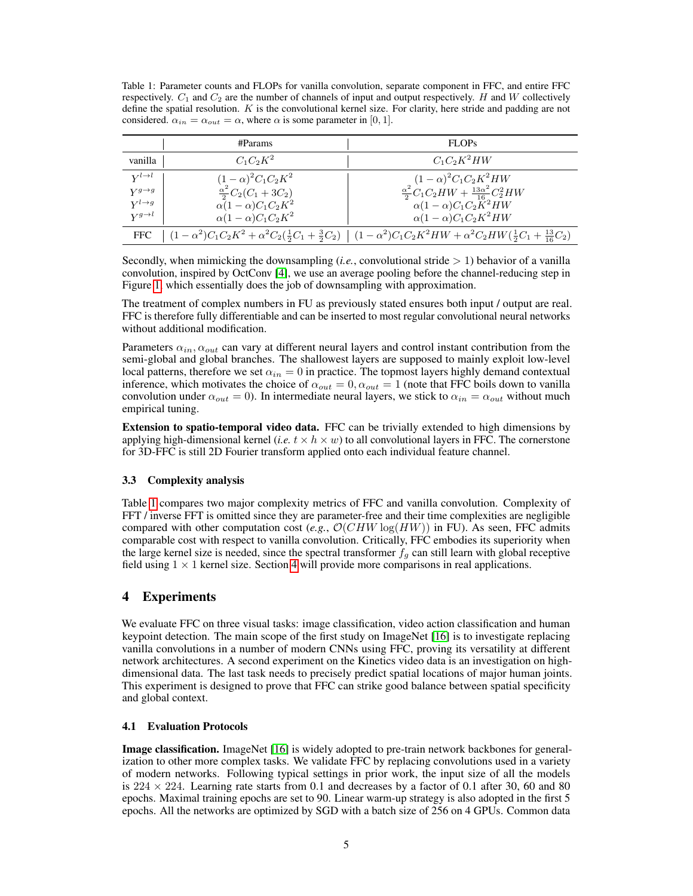<span id="page-4-1"></span>Table 1: Parameter counts and FLOPs for vanilla convolution, separate component in FFC, and entire FFC respectively.  $C_1$  and  $C_2$  are the number of channels of input and output respectively. H and W collectively define the spatial resolution.  $K$  is the convolutional kernel size. For clarity, here stride and padding are not considered.  $\alpha_{in} = \alpha_{out} = \alpha$ , where  $\alpha$  is some parameter in [0, 1].

|                      | #Params                           | <b>FLOPs</b>                                                                                                                                                              |
|----------------------|-----------------------------------|---------------------------------------------------------------------------------------------------------------------------------------------------------------------------|
| vanilla              | $C_1C_2K^2$                       | $C_1C_2K^2HW$                                                                                                                                                             |
| $V^{l\rightarrow l}$ | $(1-\alpha)^2 C_1 C_2 K^2$        | $(1 - \alpha)^2 C_1 C_2 K^2 HW$                                                                                                                                           |
| $V^{g\rightarrow g}$ | $\frac{\alpha^2}{2}C_2(C_1+3C_2)$ | $\frac{\alpha^2}{2}C_1C_2HW+\frac{13\alpha^2}{16}C_2^2HW$                                                                                                                 |
| $V^{l\rightarrow g}$ | $\alpha(1-\alpha)C_1C_2K^2$       | $\alpha(1-\alpha)C_1C_2\ddot{K}^2HW$                                                                                                                                      |
| $V^{g\rightarrow l}$ | $\alpha(1-\alpha)C_1C_2K^2$       | $\alpha(1-\alpha)C_1C_2K^2HW$                                                                                                                                             |
|                      |                                   | FFC $\left[(1-\alpha^2)C_1C_2K^2+\alpha^2C_2(\frac{1}{2}C_1+\frac{3}{2}C_2)\right]$ $\left[(1-\alpha^2)C_1C_2K^2HW+\alpha^2C_2HW(\frac{1}{2}C_1+\frac{13}{16}C_2)\right]$ |

Secondly, when mimicking the downsampling  $(i.e.,$  convolutional stride  $> 1$ ) behavior of a vanilla convolution, inspired by OctConv [\[4\]](#page-8-8), we use an average pooling before the channel-reducing step in Figure [1,](#page-2-0) which essentially does the job of downsampling with approximation.

The treatment of complex numbers in FU as previously stated ensures both input / output are real. FFC is therefore fully differentiable and can be inserted to most regular convolutional neural networks without additional modification.

Parameters  $\alpha_{in}$ ,  $\alpha_{out}$  can vary at different neural layers and control instant contribution from the semi-global and global branches. The shallowest layers are supposed to mainly exploit low-level local patterns, therefore we set  $\alpha_{in} = 0$  in practice. The topmost layers highly demand contextual inference, which motivates the choice of  $\alpha_{out} = 0$ ,  $\alpha_{out} = 1$  (note that FFC boils down to vanilla convolution under  $\alpha_{out} = 0$ ). In intermediate neural layers, we stick to  $\alpha_{in} = \alpha_{out}$  without much empirical tuning.

Extension to spatio-temporal video data. FFC can be trivially extended to high dimensions by applying high-dimensional kernel (*i.e.*  $t \times h \times w$ ) to all convolutional layers in FFC. The cornerstone for 3D-FFC is still 2D Fourier transform applied onto each individual feature channel.

## 3.3 Complexity analysis

Table [1](#page-4-1) compares two major complexity metrics of FFC and vanilla convolution. Complexity of FFT / inverse FFT is omitted since they are parameter-free and their time complexities are negligible compared with other computation cost (*e.g.*,  $\mathcal{O}(CHW \log(HW))$  in FU). As seen, FFC admits comparable cost with respect to vanilla convolution. Critically, FFC embodies its superiority when the large kernel size is needed, since the spectral transformer  $f<sub>g</sub>$  can still learn with global receptive field using  $1 \times 1$  kernel size. Section [4](#page-4-0) will provide more comparisons in real applications.

# <span id="page-4-0"></span>4 Experiments

We evaluate FFC on three visual tasks: image classification, video action classification and human keypoint detection. The main scope of the first study on ImageNet [\[16\]](#page-9-11) is to investigate replacing vanilla convolutions in a number of modern CNNs using FFC, proving its versatility at different network architectures. A second experiment on the Kinetics video data is an investigation on highdimensional data. The last task needs to precisely predict spatial locations of major human joints. This experiment is designed to prove that FFC can strike good balance between spatial specificity and global context.

#### 4.1 Evaluation Protocols

Image classification. ImageNet [\[16\]](#page-9-11) is widely adopted to pre-train network backbones for generalization to other more complex tasks. We validate FFC by replacing convolutions used in a variety of modern networks. Following typical settings in prior work, the input size of all the models is  $224 \times 224$ . Learning rate starts from 0.1 and decreases by a factor of 0.1 after 30, 60 and 80 epochs. Maximal training epochs are set to 90. Linear warm-up strategy is also adopted in the first 5 epochs. All the networks are optimized by SGD with a batch size of 256 on 4 GPUs. Common data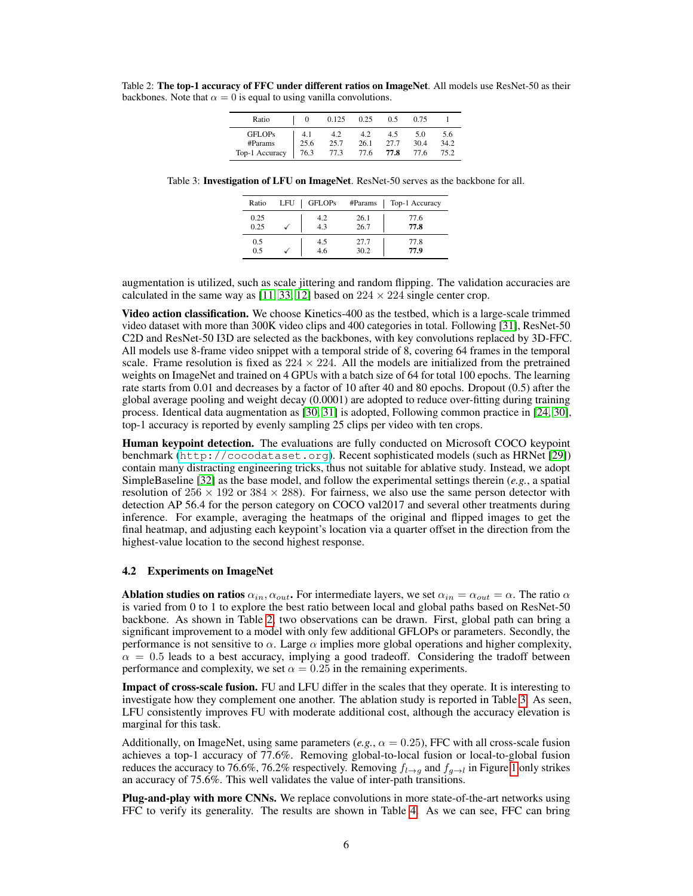<span id="page-5-0"></span>Table 2: The top-1 accuracy of FFC under different ratios on ImageNet. All models use ResNet-50 as their backbones. Note that  $\alpha = 0$  is equal to using vanilla convolutions.

| Ratio          | $_{0}$ | 0.125 | 0.25 | 0.5  | 0.75 |      |
|----------------|--------|-------|------|------|------|------|
| <b>GFLOPs</b>  | 4.1    | 4.2   | 4.2  | 4.5  | 5.0  | 5.6  |
| #Params        | 25.6   | 25.7  | 26.1 | 27.7 | 30.4 | 34.2 |
| Top-1 Accuracy | 76.3   | 77.3  | 77.6 | 77.8 | 77.6 | 75.2 |

<span id="page-5-1"></span>Table 3: Investigation of LFU on ImageNet. ResNet-50 serves as the backbone for all.

| Ratio | LFU | <b>GFLOPs</b> | #Params | Top-1 Accuracy |
|-------|-----|---------------|---------|----------------|
| 0.25  |     | 4.2           | 26.1    | 77.6           |
| 0.25  |     | 4.3           | 26.7    | 77.8           |
| 0.5   |     | 4.5           | 27.7    | 77.8           |
| 0.5   |     | 4.6           | 30.2    | 77.9           |

augmentation is utilized, such as scale jittering and random flipping. The validation accuracies are calculated in the same way as [\[11,](#page-8-0) [33,](#page-9-12) [12\]](#page-8-9) based on  $224 \times 224$  single center crop.

**Video action classification.** We choose Kinetics-400 as the testbed, which is a large-scale trimmed video dataset with more than 300K video clips and 400 categories in total. Following [\[31\]](#page-9-1), ResNet-50 C2D and ResNet-50 I3D are selected as the backbones, with key convolutions replaced by 3D-FFC. All models use 8-frame video snippet with a temporal stride of 8, covering 64 frames in the temporal scale. Frame resolution is fixed as  $224 \times 224$ . All the models are initialized from the pretrained weights on ImageNet and trained on 4 GPUs with a batch size of 64 for total 100 epochs. The learning rate starts from 0.01 and decreases by a factor of 10 after 40 and 80 epochs. Dropout (0.5) after the global average pooling and weight decay (0.0001) are adopted to reduce over-fitting during training process. Identical data augmentation as [\[30,](#page-9-13) [31\]](#page-9-1) is adopted, Following common practice in [\[24,](#page-9-14) [30\]](#page-9-13), top-1 accuracy is reported by evenly sampling 25 clips per video with ten crops.

Human keypoint detection. The evaluations are fully conducted on Microsoft COCO keypoint benchmark (<http://cocodataset.org>). Recent sophisticated models (such as HRNet [\[29\]](#page-9-3)) contain many distracting engineering tricks, thus not suitable for ablative study. Instead, we adopt SimpleBaseline [\[32\]](#page-9-15) as the base model, and follow the experimental settings therein (*e.g.*, a spatial resolution of  $256 \times 192$  or  $384 \times 288$ ). For fairness, we also use the same person detector with detection AP 56.4 for the person category on COCO val2017 and several other treatments during inference. For example, averaging the heatmaps of the original and flipped images to get the final heatmap, and adjusting each keypoint's location via a quarter offset in the direction from the highest-value location to the second highest response.

#### 4.2 Experiments on ImageNet

**Ablation studies on ratios**  $\alpha_{in}$ ,  $\alpha_{out}$ . For intermediate layers, we set  $\alpha_{in} = \alpha_{out} = \alpha$ . The ratio  $\alpha$ is varied from 0 to 1 to explore the best ratio between local and global paths based on ResNet-50 backbone. As shown in Table [2,](#page-5-0) two observations can be drawn. First, global path can bring a significant improvement to a model with only few additional GFLOPs or parameters. Secondly, the performance is not sensitive to  $\alpha$ . Large  $\alpha$  implies more global operations and higher complexity,  $\alpha = 0.5$  leads to a best accuracy, implying a good tradeoff. Considering the tradoff between performance and complexity, we set  $\alpha = 0.25$  in the remaining experiments.

Impact of cross-scale fusion. FU and LFU differ in the scales that they operate. It is interesting to investigate how they complement one another. The ablation study is reported in Table [3.](#page-5-1) As seen, LFU consistently improves FU with moderate additional cost, although the accuracy elevation is marginal for this task.

Additionally, on ImageNet, using same parameters (*e.g.*,  $\alpha = 0.25$ ), FFC with all cross-scale fusion achieves a top-1 accuracy of 77.6%. Removing global-to-local fusion or local-to-global fusion reduces the accuracy to 76.6%, 76.2% respectively. Removing  $f_{l\rightarrow g}$  and  $f_{g\rightarrow l}$  in Figure [1](#page-2-0) only strikes an accuracy of 75.6%. This well validates the value of inter-path transitions.

Plug-and-play with more CNNs. We replace convolutions in more state-of-the-art networks using FFC to verify its generality. The results are shown in Table [4.](#page-6-0) As we can see, FFC can bring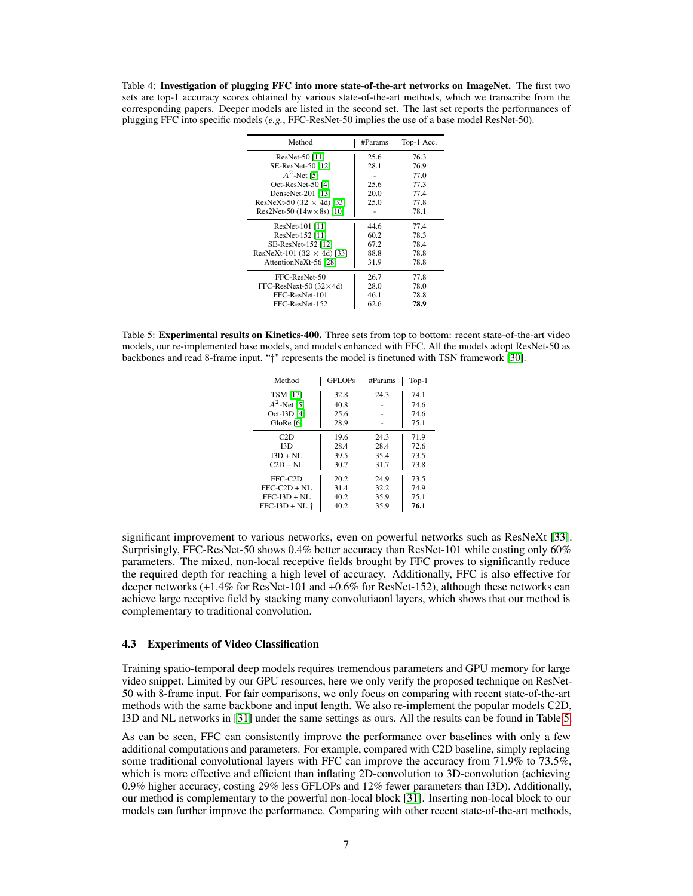<span id="page-6-0"></span>Table 4: Investigation of plugging FFC into more state-of-the-art networks on ImageNet. The first two sets are top-1 accuracy scores obtained by various state-of-the-art methods, which we transcribe from the corresponding papers. Deeper models are listed in the second set. The last set reports the performances of plugging FFC into specific models (*e.g.*, FFC-ResNet-50 implies the use of a base model ResNet-50).

| Method                            | #Params | Top-1 Acc. |
|-----------------------------------|---------|------------|
| ResNet-50 [11]                    | 25.6    | 76.3       |
| SE-ResNet-50 [12]                 | 28.1    | 76.9       |
| $A^2$ -Net [5]                    |         | 77.0       |
| Oct-ResNet-50 [4]                 | 25.6    | 77.3       |
| DenseNet-201 [13]                 | 20.0    | 77.4       |
| ResNeXt-50 (32 $\times$ 4d) [33]  | 25.0    | 77.8       |
| Res2Net-50 $(14w \times 8s)$ [10] |         | 78.1       |
| ResNet-101 [11]                   | 44.6    | 77.4       |
| ResNet-152 [11]                   | 60.2    | 78.3       |
| SE-ResNet-152 [12]                | 67.2    | 78.4       |
| ResNeXt-101 (32 $\times$ 4d) [33] | 88.8    | 78.8       |
| AttentionNeXt-56 [28]             | 31.9    | 78.8       |
| FFC-ResNet-50                     | 26.7    | 77.8       |
| FFC-ResNext-50 $(32\times4d)$     | 28.0    | 78.0       |
| FFC-ResNet-101                    | 46.1    | 78.8       |
| FFC-ResNet-152                    | 62.6    | 78.9       |

<span id="page-6-1"></span>Table 5: Experimental results on Kinetics-400. Three sets from top to bottom: recent state-of-the-art video models, our re-implemented base models, and models enhanced with FFC. All the models adopt ResNet-50 as backbones and read 8-frame input. "†" represents the model is finetuned with TSN framework [\[30\]](#page-9-13).

| Method           | <b>GFLOPs</b> | #Params | $Top-1$ |
|------------------|---------------|---------|---------|
| <b>TSM [17]</b>  | 32.8          | 24.3    | 74.1    |
| $A^2$ -Net [5]   | 40.8          |         | 74.6    |
| Oct-I3D [4]      | 25.6          |         | 74.6    |
| GloRe [6]        | 28.9          |         | 75.1    |
| C2D              | 19.6          | 24.3    | 71.9    |
| I3D              | 28.4          | 28.4    | 72.6    |
| $I3D + NI$ .     | 39.5          | 35.4    | 73.5    |
| $C2D + NL$       | 30.7          | 31.7    | 73.8    |
| FFC-C2D          | 20.2          | 24.9    | 73.5    |
| $FFC-C2D + NI$ . | 31.4          | 32.2    | 74.9    |
| $FFC-I3D + NI.$  | 40.2          | 35.9    | 75.1    |
| $FFC-I3D + NL +$ | 40.2          | 35.9    | 76.1    |

significant improvement to various networks, even on powerful networks such as ResNeXt [\[33\]](#page-9-12). Surprisingly, FFC-ResNet-50 shows 0.4% better accuracy than ResNet-101 while costing only 60% parameters. The mixed, non-local receptive fields brought by FFC proves to significantly reduce the required depth for reaching a high level of accuracy. Additionally, FFC is also effective for deeper networks (+1.4% for ResNet-101 and +0.6% for ResNet-152), although these networks can achieve large receptive field by stacking many convolutiaonl layers, which shows that our method is complementary to traditional convolution.

#### 4.3 Experiments of Video Classification

Training spatio-temporal deep models requires tremendous parameters and GPU memory for large video snippet. Limited by our GPU resources, here we only verify the proposed technique on ResNet-50 with 8-frame input. For fair comparisons, we only focus on comparing with recent state-of-the-art methods with the same backbone and input length. We also re-implement the popular models C2D, I3D and NL networks in [\[31\]](#page-9-1) under the same settings as ours. All the results can be found in Table [5.](#page-6-1)

As can be seen, FFC can consistently improve the performance over baselines with only a few additional computations and parameters. For example, compared with C2D baseline, simply replacing some traditional convolutional layers with FFC can improve the accuracy from 71.9% to 73.5%, which is more effective and efficient than inflating 2D-convolution to 3D-convolution (achieving 0.9% higher accuracy, costing 29% less GFLOPs and 12% fewer parameters than I3D). Additionally, our method is complementary to the powerful non-local block [\[31\]](#page-9-1). Inserting non-local block to our models can further improve the performance. Comparing with other recent state-of-the-art methods,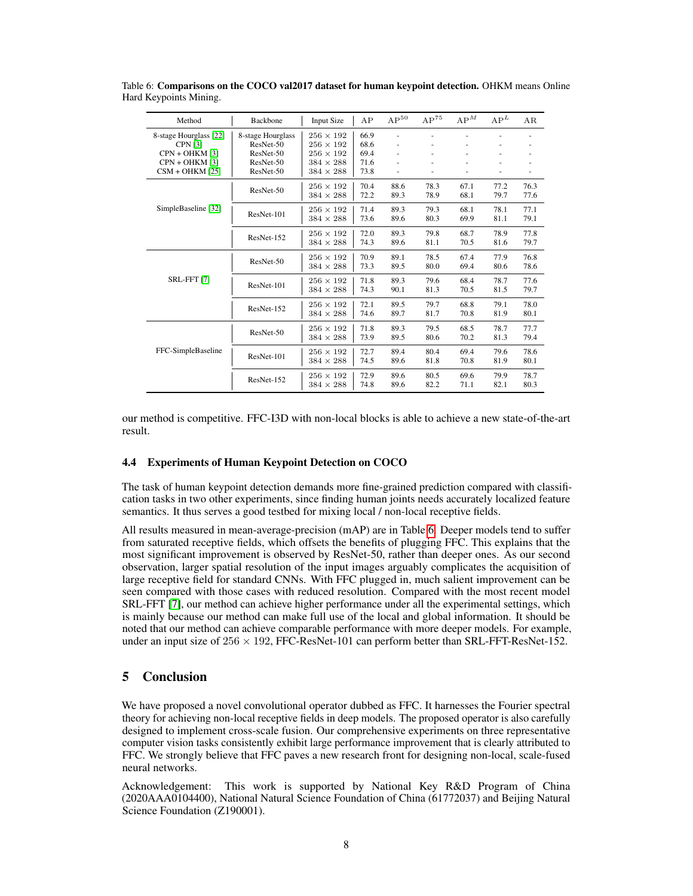| Method                 | Backbone          | <b>Input Size</b> | AΡ   | $AP^{50}$ | $AP^{75}$ | $AP^M$ | AP <sup>L</sup> | AR   |
|------------------------|-------------------|-------------------|------|-----------|-----------|--------|-----------------|------|
| 8-stage Hourglass [22] | 8-stage Hourglass | $256 \times 192$  | 66.9 | ÷,        |           |        |                 |      |
| <b>CPN [3]</b>         | ResNet-50         | $256 \times 192$  | 68.6 | ÷,        |           |        |                 |      |
| CPN + OHKM [3]         | ResNet-50         | $256 \times 192$  | 69.4 | ÷,        |           |        |                 |      |
| $CPN + OHKM$ [3]       | ResNet-50         | $384 \times 288$  | 71.6 | ÷,        |           |        |                 |      |
| $CSM + OHKM$ [25]      | ResNet-50         | $384 \times 288$  | 73.8 | ÷,        |           | ÷,     |                 |      |
|                        |                   | $256 \times 192$  | 70.4 | 88.6      | 78.3      | 67.1   | 77.2            | 76.3 |
|                        | ResNet-50         | $384 \times 288$  | 72.2 | 89.3      | 78.9      | 68.1   | 79.7            | 77.6 |
| SimpleBaseline [32]    |                   | $256 \times 192$  | 71.4 | 89.3      | 79.3      | 68.1   | 78.1            | 77.1 |
|                        | ResNet-101        | $384 \times 288$  | 73.6 | 89.6      | 80.3      | 69.9   | 81.1            | 79.1 |
|                        |                   | $256 \times 192$  | 72.0 | 89.3      | 79.8      | 68.7   | 78.9            | 77.8 |
|                        | ResNet-152        | $384 \times 288$  | 74.3 | 89.6      | 81.1      | 70.5   | 81.6            | 79.7 |
|                        |                   | $256 \times 192$  | 70.9 | 89.1      | 78.5      | 67.4   | 77.9            | 76.8 |
|                        | ResNet-50         | $384 \times 288$  | 73.3 | 89.5      | 80.0      | 69.4   | 80.6            | 78.6 |
| <b>SRL-FFT [7]</b>     | ResNet-101        | $256 \times 192$  | 71.8 | 89.3      | 79.6      | 68.4   | 78.7            | 77.6 |
|                        |                   | $384 \times 288$  | 74.3 | 90.1      | 81.3      | 70.5   | 81.5            | 79.7 |
|                        | ResNet-152        | $256 \times 192$  | 72.1 | 89.5      | 79.7      | 68.8   | 79.1            | 78.0 |
|                        |                   | $384 \times 288$  | 74.6 | 89.7      | 81.7      | 70.8   | 81.9            | 80.1 |
|                        |                   | $256 \times 192$  | 71.8 | 89.3      | 79.5      | 68.5   | 78.7            | 77.7 |
|                        | ResNet-50         | $384 \times 288$  | 73.9 | 89.5      | 80.6      | 70.2   | 81.3            | 79.4 |
| FFC-SimpleBaseline     |                   | $256 \times 192$  | 72.7 | 89.4      | 80.4      | 69.4   | 79.6            | 78.6 |
|                        | ResNet-101        | $384 \times 288$  | 74.5 | 89.6      | 81.8      | 70.8   | 81.9            | 80.1 |
|                        |                   | $256 \times 192$  | 72.9 | 89.6      | 80.5      | 69.6   | 79.9            | 78.7 |
|                        | ResNet-152        | $384 \times 288$  | 74.8 | 89.6      | 82.2      | 71.1   | 82.1            | 80.3 |
|                        |                   |                   |      |           |           |        |                 |      |

<span id="page-7-0"></span>Table 6: Comparisons on the COCO val2017 dataset for human keypoint detection. OHKM means Online Hard Keypoints Mining.

our method is competitive. FFC-I3D with non-local blocks is able to achieve a new state-of-the-art result.

## 4.4 Experiments of Human Keypoint Detection on COCO

The task of human keypoint detection demands more fine-grained prediction compared with classification tasks in two other experiments, since finding human joints needs accurately localized feature semantics. It thus serves a good testbed for mixing local / non-local receptive fields.

All results measured in mean-average-precision (mAP) are in Table [6.](#page-7-0) Deeper models tend to suffer from saturated receptive fields, which offsets the benefits of plugging FFC. This explains that the most significant improvement is observed by ResNet-50, rather than deeper ones. As our second observation, larger spatial resolution of the input images arguably complicates the acquisition of large receptive field for standard CNNs. With FFC plugged in, much salient improvement can be seen compared with those cases with reduced resolution. Compared with the most recent model SRL-FFT [\[7\]](#page-8-4), our method can achieve higher performance under all the experimental settings, which is mainly because our method can make full use of the local and global information. It should be noted that our method can achieve comparable performance with more deeper models. For example, under an input size of  $256 \times 192$ , FFC-ResNet-101 can perform better than SRL-FFT-ResNet-152.

# 5 Conclusion

We have proposed a novel convolutional operator dubbed as FFC. It harnesses the Fourier spectral theory for achieving non-local receptive fields in deep models. The proposed operator is also carefully designed to implement cross-scale fusion. Our comprehensive experiments on three representative computer vision tasks consistently exhibit large performance improvement that is clearly attributed to FFC. We strongly believe that FFC paves a new research front for designing non-local, scale-fused neural networks.

Acknowledgement: This work is supported by National Key R&D Program of China (2020AAA0104400), National Natural Science Foundation of China (61772037) and Beijing Natural Science Foundation (Z190001).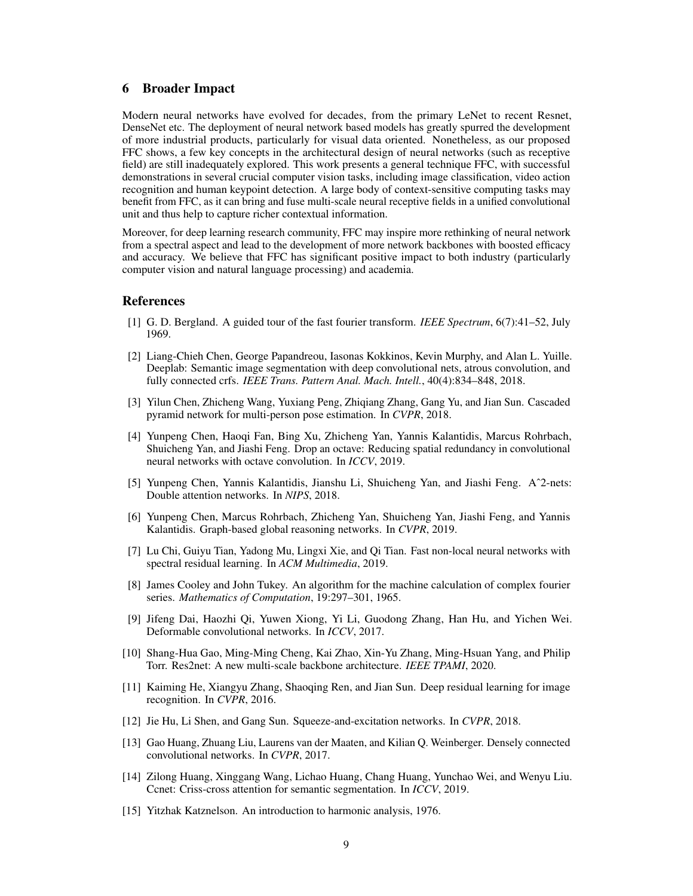## 6 Broader Impact

Modern neural networks have evolved for decades, from the primary LeNet to recent Resnet, DenseNet etc. The deployment of neural network based models has greatly spurred the development of more industrial products, particularly for visual data oriented. Nonetheless, as our proposed FFC shows, a few key concepts in the architectural design of neural networks (such as receptive field) are still inadequately explored. This work presents a general technique FFC, with successful demonstrations in several crucial computer vision tasks, including image classification, video action recognition and human keypoint detection. A large body of context-sensitive computing tasks may benefit from FFC, as it can bring and fuse multi-scale neural receptive fields in a unified convolutional unit and thus help to capture richer contextual information.

Moreover, for deep learning research community, FFC may inspire more rethinking of neural network from a spectral aspect and lead to the development of more network backbones with boosted efficacy and accuracy. We believe that FFC has significant positive impact to both industry (particularly computer vision and natural language processing) and academia.

## References

- <span id="page-8-7"></span>[1] G. D. Bergland. A guided tour of the fast fourier transform. *IEEE Spectrum*, 6(7):41–52, July 1969.
- <span id="page-8-1"></span>[2] Liang-Chieh Chen, George Papandreou, Iasonas Kokkinos, Kevin Murphy, and Alan L. Yuille. Deeplab: Semantic image segmentation with deep convolutional nets, atrous convolution, and fully connected crfs. *IEEE Trans. Pattern Anal. Mach. Intell.*, 40(4):834–848, 2018.
- <span id="page-8-14"></span>[3] Yilun Chen, Zhicheng Wang, Yuxiang Peng, Zhiqiang Zhang, Gang Yu, and Jian Sun. Cascaded pyramid network for multi-person pose estimation. In *CVPR*, 2018.
- <span id="page-8-8"></span>[4] Yunpeng Chen, Haoqi Fan, Bing Xu, Zhicheng Yan, Yannis Kalantidis, Marcus Rohrbach, Shuicheng Yan, and Jiashi Feng. Drop an octave: Reducing spatial redundancy in convolutional neural networks with octave convolution. In *ICCV*, 2019.
- <span id="page-8-10"></span>[5] Yunpeng Chen, Yannis Kalantidis, Jianshu Li, Shuicheng Yan, and Jiashi Feng. Aˆ2-nets: Double attention networks. In *NIPS*, 2018.
- <span id="page-8-13"></span>[6] Yunpeng Chen, Marcus Rohrbach, Zhicheng Yan, Shuicheng Yan, Jiashi Feng, and Yannis Kalantidis. Graph-based global reasoning networks. In *CVPR*, 2019.
- <span id="page-8-4"></span>[7] Lu Chi, Guiyu Tian, Yadong Mu, Lingxi Xie, and Qi Tian. Fast non-local neural networks with spectral residual learning. In *ACM Multimedia*, 2019.
- <span id="page-8-6"></span>[8] James Cooley and John Tukey. An algorithm for the machine calculation of complex fourier series. *Mathematics of Computation*, 19:297–301, 1965.
- <span id="page-8-2"></span>[9] Jifeng Dai, Haozhi Qi, Yuwen Xiong, Yi Li, Guodong Zhang, Han Hu, and Yichen Wei. Deformable convolutional networks. In *ICCV*, 2017.
- <span id="page-8-12"></span>[10] Shang-Hua Gao, Ming-Ming Cheng, Kai Zhao, Xin-Yu Zhang, Ming-Hsuan Yang, and Philip Torr. Res2net: A new multi-scale backbone architecture. *IEEE TPAMI*, 2020.
- <span id="page-8-0"></span>[11] Kaiming He, Xiangyu Zhang, Shaoqing Ren, and Jian Sun. Deep residual learning for image recognition. In *CVPR*, 2016.
- <span id="page-8-9"></span>[12] Jie Hu, Li Shen, and Gang Sun. Squeeze-and-excitation networks. In *CVPR*, 2018.
- <span id="page-8-11"></span>[13] Gao Huang, Zhuang Liu, Laurens van der Maaten, and Kilian Q. Weinberger. Densely connected convolutional networks. In *CVPR*, 2017.
- <span id="page-8-5"></span>[14] Zilong Huang, Xinggang Wang, Lichao Huang, Chang Huang, Yunchao Wei, and Wenyu Liu. Ccnet: Criss-cross attention for semantic segmentation. In *ICCV*, 2019.
- <span id="page-8-3"></span>[15] Yitzhak Katznelson. An introduction to harmonic analysis, 1976.